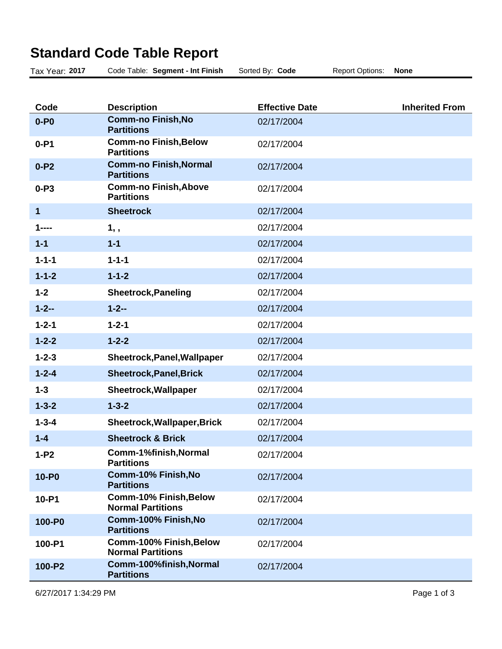## **Standard Code Table Report**

| Tax Year: 2017 | Code Table: Segment - Int Finish                          | Sorted By: Code       | <b>Report Options:</b> | <b>None</b>           |
|----------------|-----------------------------------------------------------|-----------------------|------------------------|-----------------------|
|                |                                                           |                       |                        |                       |
| Code           | <b>Description</b>                                        | <b>Effective Date</b> |                        | <b>Inherited From</b> |
| $0 - P0$       | <b>Comm-no Finish, No</b><br><b>Partitions</b>            | 02/17/2004            |                        |                       |
| $0 - P1$       | <b>Comm-no Finish, Below</b><br><b>Partitions</b>         | 02/17/2004            |                        |                       |
| $0-P2$         | <b>Comm-no Finish, Normal</b><br><b>Partitions</b>        | 02/17/2004            |                        |                       |
| $0-P3$         | <b>Comm-no Finish, Above</b><br><b>Partitions</b>         | 02/17/2004            |                        |                       |
| 1              | <b>Sheetrock</b>                                          | 02/17/2004            |                        |                       |
| 1----          | $1,$ ,                                                    | 02/17/2004            |                        |                       |
| $1 - 1$        | $1 - 1$                                                   | 02/17/2004            |                        |                       |
| $1 - 1 - 1$    | $1 - 1 - 1$                                               | 02/17/2004            |                        |                       |
| $1 - 1 - 2$    | $1 - 1 - 2$                                               | 02/17/2004            |                        |                       |
| $1 - 2$        | <b>Sheetrock, Paneling</b>                                | 02/17/2004            |                        |                       |
| $1 - 2 -$      | $1 - 2 -$                                                 | 02/17/2004            |                        |                       |
| $1 - 2 - 1$    | $1 - 2 - 1$                                               | 02/17/2004            |                        |                       |
| $1 - 2 - 2$    | $1 - 2 - 2$                                               | 02/17/2004            |                        |                       |
| $1 - 2 - 3$    | Sheetrock, Panel, Wallpaper                               | 02/17/2004            |                        |                       |
| $1 - 2 - 4$    | <b>Sheetrock, Panel, Brick</b>                            | 02/17/2004            |                        |                       |
| $1 - 3$        | Sheetrock, Wallpaper                                      | 02/17/2004            |                        |                       |
| $1 - 3 - 2$    | $1 - 3 - 2$                                               | 02/17/2004            |                        |                       |
| $1 - 3 - 4$    | Sheetrock, Wallpaper, Brick                               | 02/17/2004            |                        |                       |
| $1 - 4$        | <b>Sheetrock &amp; Brick</b>                              | 02/17/2004            |                        |                       |
| $1-P2$         | Comm-1%finish, Normal<br><b>Partitions</b>                | 02/17/2004            |                        |                       |
| 10-P0          | Comm-10% Finish, No<br><b>Partitions</b>                  | 02/17/2004            |                        |                       |
| 10-P1          | <b>Comm-10% Finish, Below</b><br><b>Normal Partitions</b> | 02/17/2004            |                        |                       |
| 100-P0         | Comm-100% Finish, No<br><b>Partitions</b>                 | 02/17/2004            |                        |                       |
| 100-P1         | Comm-100% Finish, Below<br><b>Normal Partitions</b>       | 02/17/2004            |                        |                       |
| 100-P2         | Comm-100%finish, Normal<br><b>Partitions</b>              | 02/17/2004            |                        |                       |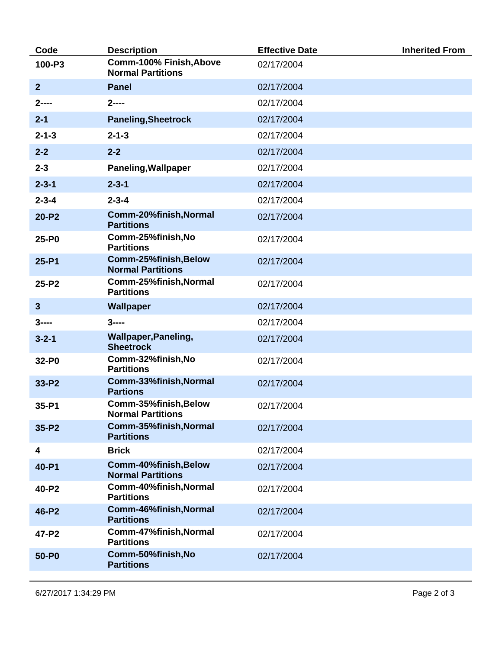| Code           | <b>Description</b>                                  | <b>Effective Date</b> | <b>Inherited From</b> |
|----------------|-----------------------------------------------------|-----------------------|-----------------------|
| 100-P3         | Comm-100% Finish, Above<br><b>Normal Partitions</b> | 02/17/2004            |                       |
| $\overline{2}$ | <b>Panel</b>                                        | 02/17/2004            |                       |
| $2$ ----       | $2^{---}$                                           | 02/17/2004            |                       |
| $2 - 1$        | <b>Paneling, Sheetrock</b>                          | 02/17/2004            |                       |
| $2 - 1 - 3$    | $2 - 1 - 3$                                         | 02/17/2004            |                       |
| $2 - 2$        | $2 - 2$                                             | 02/17/2004            |                       |
| $2 - 3$        | <b>Paneling, Wallpaper</b>                          | 02/17/2004            |                       |
| $2 - 3 - 1$    | $2 - 3 - 1$                                         | 02/17/2004            |                       |
| $2 - 3 - 4$    | $2 - 3 - 4$                                         | 02/17/2004            |                       |
| $20 - P2$      | Comm-20%finish, Normal<br><b>Partitions</b>         | 02/17/2004            |                       |
| 25-P0          | Comm-25%finish, No<br><b>Partitions</b>             | 02/17/2004            |                       |
| $25 - P1$      | Comm-25%finish, Below<br><b>Normal Partitions</b>   | 02/17/2004            |                       |
| 25-P2          | Comm-25%finish, Normal<br><b>Partitions</b>         | 02/17/2004            |                       |
| $\mathbf{3}$   | <b>Wallpaper</b>                                    | 02/17/2004            |                       |
| $3$ ----       | $3$ ----                                            | 02/17/2004            |                       |
| $3 - 2 - 1$    | <b>Wallpaper, Paneling,</b><br><b>Sheetrock</b>     | 02/17/2004            |                       |
| 32-P0          | Comm-32%finish, No<br><b>Partitions</b>             | 02/17/2004            |                       |
| $33-P2$        | Comm-33%finish, Normal<br><b>Partions</b>           | 02/17/2004            |                       |
| 35-P1          | Comm-35%finish, Below<br><b>Normal Partitions</b>   | 02/17/2004            |                       |
| 35-P2          | Comm-35%finish, Normal<br><b>Partitions</b>         | 02/17/2004            |                       |
| 4              | <b>Brick</b>                                        | 02/17/2004            |                       |
| 40-P1          | Comm-40%finish, Below<br><b>Normal Partitions</b>   | 02/17/2004            |                       |
| 40-P2          | Comm-40%finish, Normal<br><b>Partitions</b>         | 02/17/2004            |                       |
| 46-P2          | Comm-46%finish, Normal<br><b>Partitions</b>         | 02/17/2004            |                       |
| 47-P2          | Comm-47%finish, Normal<br><b>Partitions</b>         | 02/17/2004            |                       |
| 50-P0          | Comm-50%finish, No<br><b>Partitions</b>             | 02/17/2004            |                       |